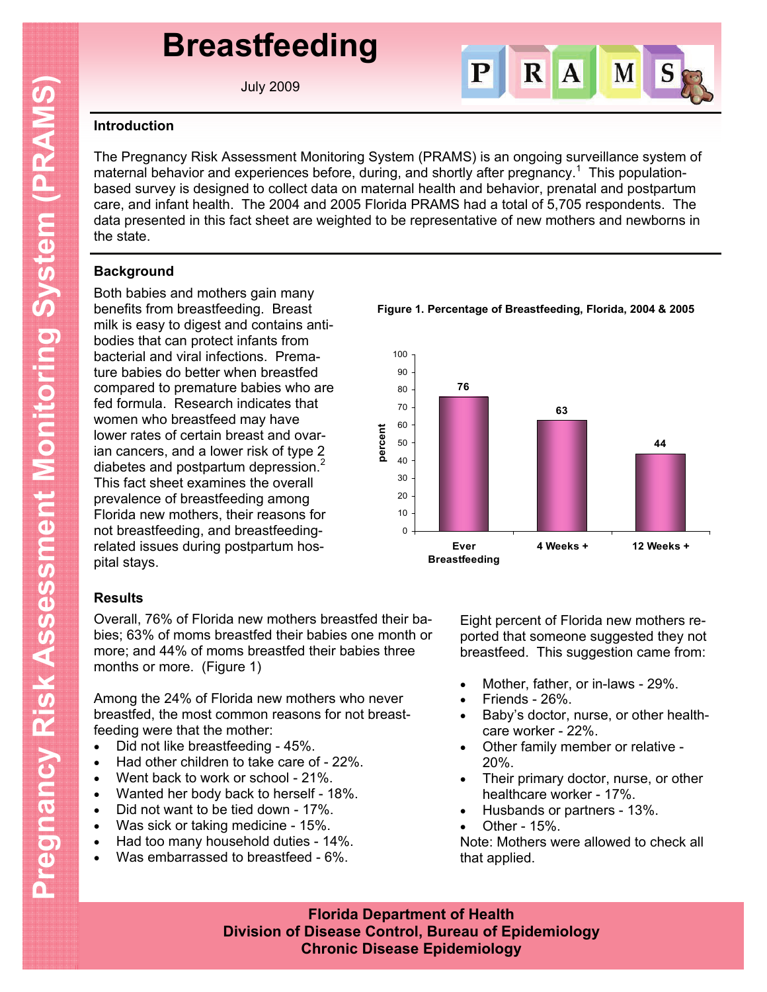# **Breastfeeding**

July 2009



#### **Introduction**

The Pregnancy Risk Assessment Monitoring System (PRAMS) is an ongoing surveillance system of maternal behavior and experiences before, during, and shortly after pregnancy.<sup>1</sup> This populationbased survey is designed to collect data on maternal health and behavior, prenatal and postpartum care, and infant health. The 2004 and 2005 Florida PRAMS had a total of 5,705 respondents. The data presented in this fact sheet are weighted to be representative of new mothers and newborns in the state.

### **Background**

Both babies and mothers gain many benefits from breastfeeding. Breast milk is easy to digest and contains antibodies that can protect infants from bacterial and viral infections. Premature babies do better when breastfed compared to premature babies who are fed formula. Research indicates that women who breastfeed may have lower rates of certain breast and ovarian cancers, and a lower risk of type 2 diabetes and postpartum depression.<sup>2</sup> This fact sheet examines the overall prevalence of breastfeeding among Florida new mothers, their reasons for not breastfeeding, and breastfeedingrelated issues during postpartum hospital stays.

## **Results**

Overall, 76% of Florida new mothers breastfed their babies; 63% of moms breastfed their babies one month or more; and 44% of moms breastfed their babies three months or more. (Figure 1)

Among the 24% of Florida new mothers who never breastfed, the most common reasons for not breastfeeding were that the mother:

- Did not like breastfeeding 45%.
- Had other children to take care of 22%.
- Went back to work or school 21%.
- Wanted her body back to herself 18%.
- Did not want to be tied down 17%.
- Was sick or taking medicine 15%.
- Had too many household duties 14%.
- Was embarrassed to breastfeed 6%.

**Figure 1. Percentage of Breastfeeding, Florida, 2004 & 2005**



Eight percent of Florida new mothers reported that someone suggested they not breastfeed. This suggestion came from:

- Mother, father, or in-laws 29%.
- Friends 26%.
- Baby's doctor, nurse, or other healthcare worker - 22%.
- Other family member or relative 20%.
- Their primary doctor, nurse, or other healthcare worker - 17%.
- Husbands or partners 13%.
- Other 15%.

Note: Mothers were allowed to check all that applied.

**Florida Department of Health Division of Disease Control, Bureau of Epidemiology Chronic Disease Epidemiology**